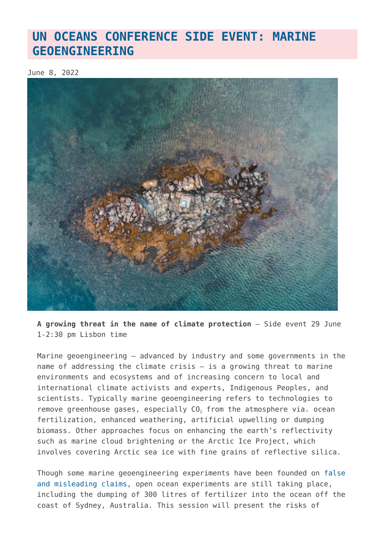## **[UN OCEANS CONFERENCE SIDE EVENT: MARINE](https://www.geoengineeringmonitor.org/2022/06/un-oceans-conference-side-event-marine-geoengineering/) [GEOENGINEERING](https://www.geoengineeringmonitor.org/2022/06/un-oceans-conference-side-event-marine-geoengineering/)**

June 8, 2022



**A growing threat in the name of climate protection** – Side event 29 June 1-2:30 pm Lisbon time

Marine geoengineering – advanced by industry and some governments in the name of addressing the climate crisis – is a growing threat to marine environments and ecosystems and of increasing concern to local and international climate activists and experts, Indigenous Peoples, and scientists. Typically marine geoengineering refers to technologies to remove greenhouse gases, especially  $CO<sub>2</sub>$  from the atmosphere via. ocean fertilization, enhanced weathering, artificial upwelling or dumping biomass. Other approaches focus on enhancing the earth's reflectivity such as marine cloud brightening or the Arctic Ice Project, which involves covering Arctic sea ice with fine grains of reflective silica.

Though some marine geoengineering experiments have been founded on [false](https://calgary.citynews.ca/2014/02/25/geo-engineering-guru-lied-about-ocean-fertilization-haida-court-documents/) [and misleading claims,](https://calgary.citynews.ca/2014/02/25/geo-engineering-guru-lied-about-ocean-fertilization-haida-court-documents/) open ocean experiments are still taking place, including the dumping of 300 litres of fertilizer into the ocean off the coast of Sydney, Australia. This session will present the risks of